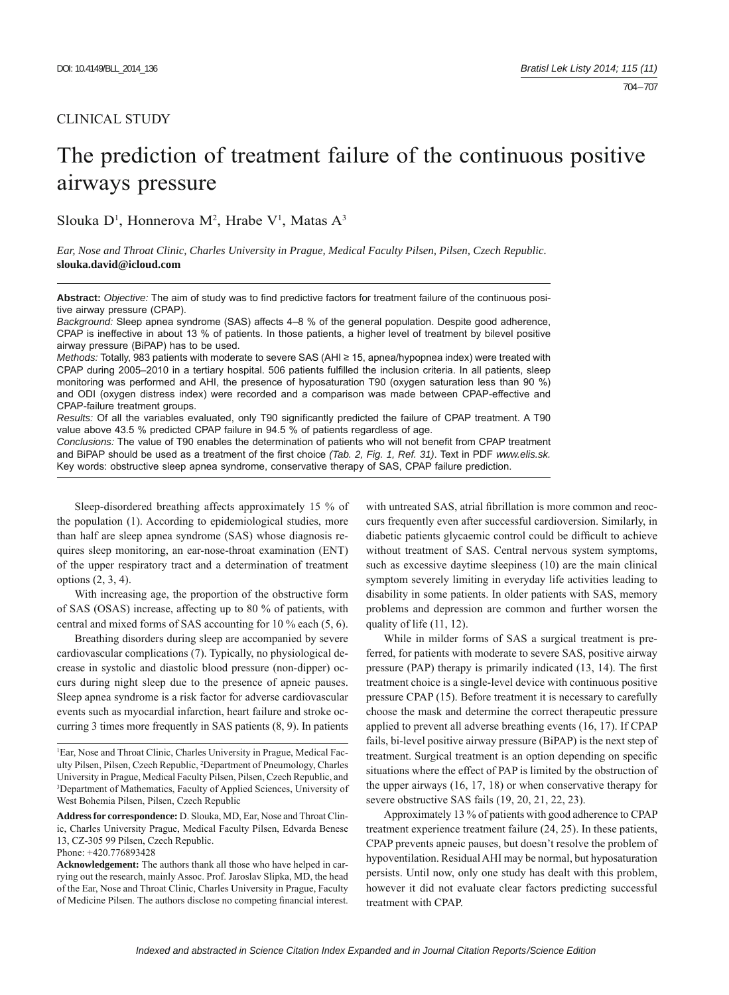## CLINICAL STUDY

# The prediction of treatment failure of the continuous positive airways pressure

Slouka  $D^1$ , Honnerova M<sup>2</sup>, Hrabe V<sup>1</sup>, Matas A<sup>3</sup>

*Ear, Nose and Throat Clinic, Charles University in Prague, Medical Faculty Pilsen, Pilsen, Czech Republic.*  **slouka.david@icloud.com**

Abstract: Objective: The aim of study was to find predictive factors for treatment failure of the continuous positive airway pressure (CPAP).

*Background:* Sleep apnea syndrome (SAS) affects 4–8 % of the general population. Despite good adherence, CPAP is ineffective in about 13 % of patients. In those patients, a higher level of treatment by bilevel positive airway pressure (BiPAP) has to be used.

*Methods:* Totally, 983 patients with moderate to severe SAS (AHI ≥ 15, apnea/hypopnea index) were treated with CPAP during 2005–2010 in a tertiary hospital. 506 patients fulfilled the inclusion criteria. In all patients, sleep monitoring was performed and AHI, the presence of hyposaturation T90 (oxygen saturation less than 90 %) and ODI (oxygen distress index) were recorded and a comparison was made between CPAP-effective and CPAP-failure treatment groups.

*Results:* Of all the variables evaluated, only T90 significantly predicted the failure of CPAP treatment. A T90 value above 43.5 % predicted CPAP failure in 94.5 % of patients regardless of age.

*Conclusions:* The value of T90 enables the determination of patients who will not benefit from CPAP treatment and BiPAP should be used as a treatment of the first choice *(Tab. 2, Fig. 1, Ref. 31)*. Text in PDF *www.elis.sk.* Key words: obstructive sleep apnea syndrome, conservative therapy of SAS, CPAP failure prediction.

Sleep-disordered breathing affects approximately 15 % of the population (1). According to epidemiological studies, more than half are sleep apnea syndrome (SAS) whose diagnosis requires sleep monitoring, an ear-nose-throat examination (ENT) of the upper respiratory tract and a determination of treatment options (2, 3, 4).

With increasing age, the proportion of the obstructive form of SAS (OSAS) increase, affecting up to 80 % of patients, with central and mixed forms of SAS accounting for 10 % each (5, 6).

Breathing disorders during sleep are accompanied by severe cardiovascular complications (7). Typically, no physiological decrease in systolic and diastolic blood pressure (non-dipper) occurs during night sleep due to the presence of apneic pauses. Sleep apnea syndrome is a risk factor for adverse cardiovascular events such as myocardial infarction, heart failure and stroke occurring 3 times more frequently in SAS patients (8, 9). In patients

**Address for correspondence:** D. Slouka, MD, Ear, Nose and Throat Clinic, Charles University Prague, Medical Faculty Pilsen, Edvarda Benese 13, CZ-305 99 Pilsen, Czech Republic.

Phone: +420.776893428

**Acknowledgement:** The authors thank all those who have helped in carrying out the research, mainly Assoc. Prof. Jaroslav Slipka, MD, the head of the Ear, Nose and Throat Clinic, Charles University in Prague, Faculty of Medicine Pilsen. The authors disclose no competing financial interest. with untreated SAS, atrial fibrillation is more common and reoccurs frequently even after successful cardioversion. Similarly, in diabetic patients glycaemic control could be difficult to achieve without treatment of SAS. Central nervous system symptoms, such as excessive daytime sleepiness (10) are the main clinical symptom severely limiting in everyday life activities leading to disability in some patients. In older patients with SAS, memory problems and depression are common and further worsen the quality of life (11, 12).

While in milder forms of SAS a surgical treatment is preferred, for patients with moderate to severe SAS, positive airway pressure (PAP) therapy is primarily indicated  $(13, 14)$ . The first treatment choice is a single-level device with continuous positive pressure CPAP (15). Before treatment it is necessary to carefully choose the mask and determine the correct therapeutic pressure applied to prevent all adverse breathing events (16, 17). If CPAP fails, bi-level positive airway pressure (BiPAP) is the next step of treatment. Surgical treatment is an option depending on specific situations where the effect of PAP is limited by the obstruction of the upper airways (16, 17, 18) or when conservative therapy for severe obstructive SAS fails (19, 20, 21, 22, 23).

Approximately 13 % of patients with good adherence to CPAP treatment experience treatment failure (24, 25). In these patients, CPAP prevents apneic pauses, but doesn't resolve the problem of hypoventilation. Residual AHI may be normal, but hyposaturation persists. Until now, only one study has dealt with this problem, however it did not evaluate clear factors predicting successful treatment with CPAP.

<sup>1</sup> Ear, Nose and Throat Clinic, Charles University in Prague, Medical Faculty Pilsen, Pilsen, Czech Republic, 2 Department of Pneumology, Charles University in Prague, Medical Faculty Pilsen, Pilsen, Czech Republic, and 3 Department of Mathematics, Faculty of Applied Sciences, University of West Bohemia Pilsen, Pilsen, Czech Republic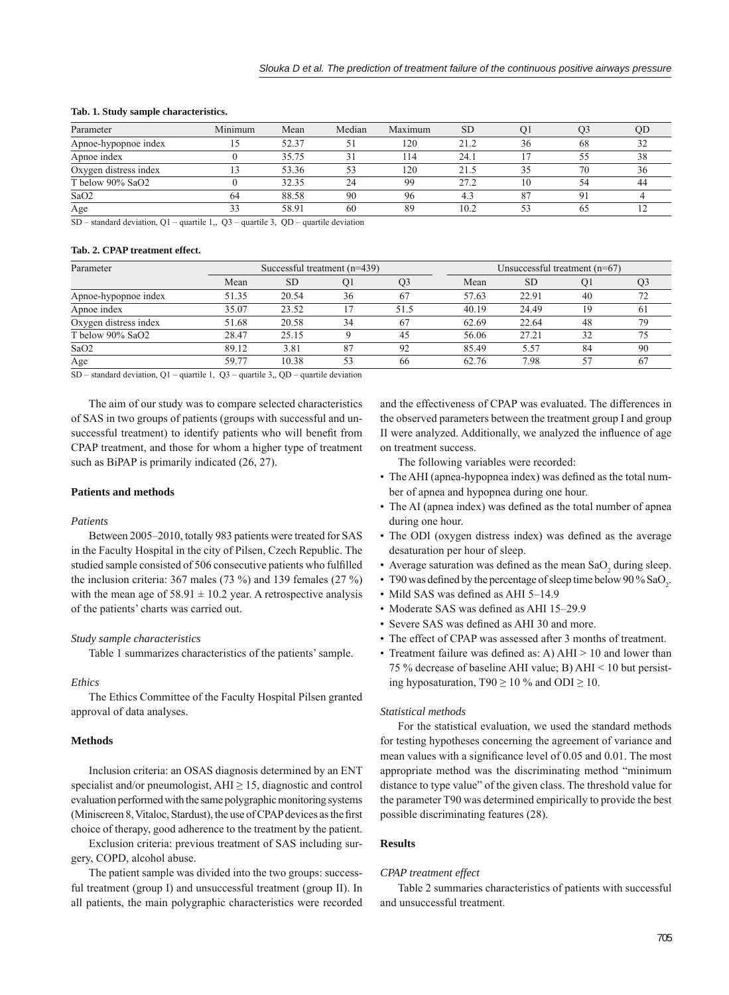| Parameter             | Minimum | Mean  | Median | Maximum | <b>SD</b> |    | O3 | OD |
|-----------------------|---------|-------|--------|---------|-----------|----|----|----|
| Apnoe-hypopnoe index  |         | 52.37 |        | 120     | 212       | 36 | 68 |    |
| Apnoe index           |         | 35.75 |        | 114     | 24.1      |    |    |    |
| Oxygen distress index | ר ו     | 53.36 |        | 120     | 21.5      |    | 70 | 36 |
| T below 90% SaO2      |         | 32.35 |        | 99      | 27.2      |    |    | 44 |
| SaO <sub>2</sub>      | 64      | 88.58 | 90     | 96      |           |    |    |    |
| Age                   | 33      | 58.91 | 60     | 89      | 10.2      |    | 65 |    |

#### **Tab. 1. Study sample characteristics.**

SD – standard deviation, Q1 – quartile 1,, Q3 – quartile 3, QD – quartile deviation

## **Tab. 2. CPAP treatment effect.**

| Parameter             | Successful treatment $(n=439)$ |           |                |      | Unsuccessful treatment $(n=67)$ |           |    |     |
|-----------------------|--------------------------------|-----------|----------------|------|---------------------------------|-----------|----|-----|
|                       | Mean                           | <b>SD</b> | O <sub>1</sub> |      | Mean                            | <b>SD</b> | O1 |     |
| Apnoe-hypopnoe index  | 51.35                          | 20.54     | 36             | 67   | 57.63                           | 22.91     | 40 |     |
| Apnoe index           | 35.07                          | 23.52     |                | 51.5 | 40.19                           | 24.49     | 19 | 6 I |
| Oxygen distress index | 51.68                          | 20.58     | 34             | 67   | 62.69                           | 22.64     | 48 | 79  |
| T below 90% SaO2      | 28.47                          | 25.15     |                | 45   | 56.06                           | 27.21     | 32 | 75  |
| SaO2                  | 89.12                          | 3.81      | 87             | 92   | 85.49                           | 5.57      | 84 | 90  |
| Age                   | 59.77                          | 10.38     | 53             | 66   | 62.76                           | 7.98      | 57 |     |

 $SD - standard deviation, Q1 - quartile 1, Q3 - quartile 3, QD - quartile deviation$ 

The aim of our study was to compare selected characteristics of SAS in two groups of patients (groups with successful and unsuccessful treatment) to identify patients who will benefit from CPAP treatment, and those for whom a higher type of treatment such as BiPAP is primarily indicated (26, 27).

## **Patients and methods**

## *Patients*

Between 2005–2010, totally 983 patients were treated for SAS in the Faculty Hospital in the city of Pilsen, Czech Republic. The studied sample consisted of 506 consecutive patients who fulfilled the inclusion criteria: 367 males (73 %) and 139 females (27 %) with the mean age of  $58.91 \pm 10.2$  year. A retrospective analysis of the patients' charts was carried out.

## *Study sample characteristics*

Table 1 summarizes characteristics of the patients' sample.

#### *Ethics*

The Ethics Committee of the Faculty Hospital Pilsen granted approval of data analyses.

## **Methods**

Inclusion criteria: an OSAS diagnosis determined by an ENT specialist and/or pneumologist,  $AHI \geq 15$ , diagnostic and control evaluation performed with the same polygraphic monitoring systems (Miniscreen 8, Vitaloc, Stardust), the use of CPAP devices as the first choice of therapy, good adherence to the treatment by the patient.

Exclusion criteria: previous treatment of SAS including surgery, COPD, alcohol abuse.

The patient sample was divided into the two groups: successful treatment (group I) and unsuccessful treatment (group II). In all patients, the main polygraphic characteristics were recorded and the effectiveness of CPAP was evaluated. The differences in the observed parameters between the treatment group I and group II were analyzed. Additionally, we analyzed the influence of age on treatment success.

The following variables were recorded:

- The AHI (apnea-hypopnea index) was defined as the total number of apnea and hypopnea during one hour.
- The AI (apnea index) was defined as the total number of apnea during one hour.
- The ODI (oxygen distress index) was defined as the average desaturation per hour of sleep.
- Average saturation was defined as the mean  $SaO_2$  during sleep.
- T90 was defined by the percentage of sleep time below 90 %  $\text{SaO}_2$ .
- Mild SAS was defined as AHI 5-14.9
- Moderate SAS was defined as AHI 15–29.9
- Severe SAS was defined as AHI 30 and more.
- The effect of CPAP was assessed after 3 months of treatment.
- Treatment failure was defined as: A)  $AHI > 10$  and lower than 75 % decrease of baseline AHI value; B) AHI < 10 but persisting hyposaturation,  $T90 \ge 10 \%$  and  $ODI \ge 10$ .

## *Statistical methods*

For the statistical evaluation, we used the standard methods for testing hypotheses concerning the agreement of variance and mean values with a significance level of 0.05 and 0.01. The most appropriate method was the discriminating method "minimum distance to type value" of the given class. The threshold value for the parameter T90 was determined empirically to provide the best possible discriminating features (28).

#### **Results**

## *CPAP treatment effect*

Table 2 summaries characteristics of patients with successful and unsuccessful treatment.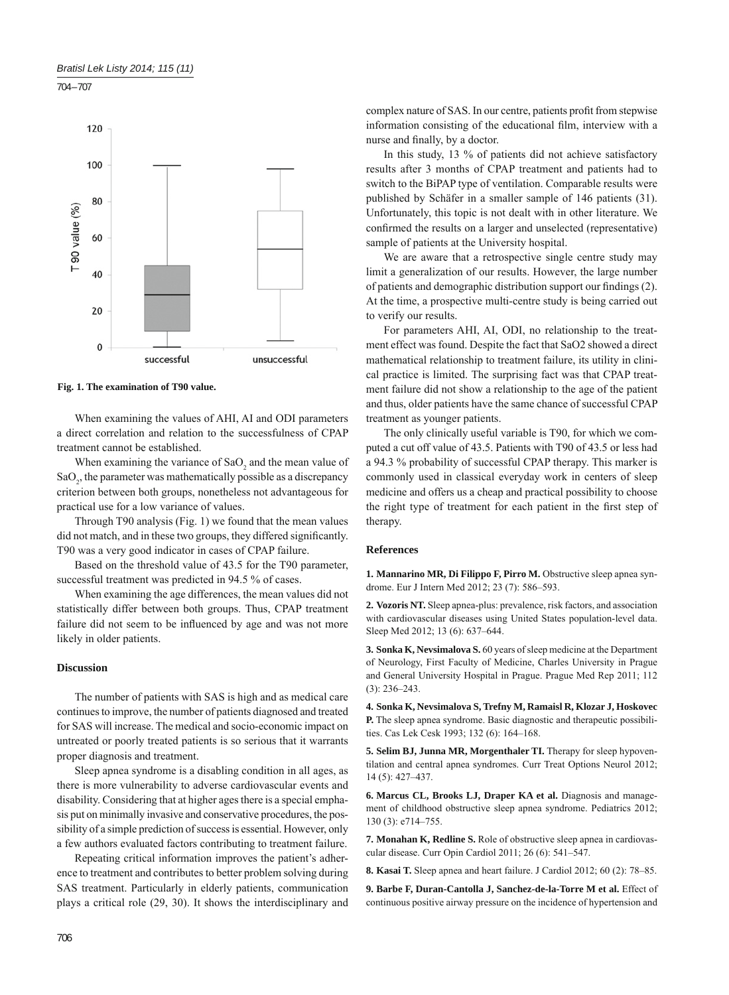



**Fig. 1. The examination of T90 value.**

When examining the values of AHI, AI and ODI parameters a direct correlation and relation to the successfulness of CPAP treatment cannot be established.

When examining the variance of  $SaO<sub>2</sub>$  and the mean value of  $\text{SaO}_2$ , the parameter was mathematically possible as a discrepancy criterion between both groups, nonetheless not advantageous for practical use for a low variance of values.

Through T90 analysis (Fig. 1) we found that the mean values did not match, and in these two groups, they differed significantly. T90 was a very good indicator in cases of CPAP failure.

Based on the threshold value of 43.5 for the T90 parameter, successful treatment was predicted in 94.5 % of cases.

When examining the age differences, the mean values did not statistically differ between both groups. Thus, CPAP treatment failure did not seem to be influenced by age and was not more likely in older patients.

## **Discussion**

The number of patients with SAS is high and as medical care continues to improve, the number of patients diagnosed and treated for SAS will increase. The medical and socio-economic impact on untreated or poorly treated patients is so serious that it warrants proper diagnosis and treatment.

Sleep apnea syndrome is a disabling condition in all ages, as there is more vulnerability to adverse cardiovascular events and disability. Considering that at higher ages there is a special emphasis put on minimally invasive and conservative procedures, the possibility of a simple prediction of success is essential. However, only a few authors evaluated factors contributing to treatment failure.

Repeating critical information improves the patient's adherence to treatment and contributes to better problem solving during SAS treatment. Particularly in elderly patients, communication plays a critical role (29, 30). It shows the interdisciplinary and complex nature of SAS. In our centre, patients profit from stepwise information consisting of the educational film, interview with a nurse and finally, by a doctor.

In this study, 13 % of patients did not achieve satisfactory results after 3 months of CPAP treatment and patients had to switch to the BiPAP type of ventilation. Comparable results were published by Schäfer in a smaller sample of 146 patients (31). Unfortunately, this topic is not dealt with in other literature. We confirmed the results on a larger and unselected (representative) sample of patients at the University hospital.

We are aware that a retrospective single centre study may limit a generalization of our results. However, the large number of patients and demographic distribution support our findings (2). At the time, a prospective multi-centre study is being carried out to verify our results.

For parameters AHI, AI, ODI, no relationship to the treatment effect was found. Despite the fact that SaO2 showed a direct mathematical relationship to treatment failure, its utility in clinical practice is limited. The surprising fact was that CPAP treatment failure did not show a relationship to the age of the patient and thus, older patients have the same chance of successful CPAP treatment as younger patients.

The only clinically useful variable is T90, for which we computed a cut off value of 43.5. Patients with T90 of 43.5 or less had a 94.3 % probability of successful CPAP therapy. This marker is commonly used in classical everyday work in centers of sleep medicine and offers us a cheap and practical possibility to choose the right type of treatment for each patient in the first step of therapy.

## **References**

**1. Mannarino MR, Di Filippo F, Pirro M.** Obstructive sleep apnea syndrome. Eur J Intern Med 2012; 23 (7): 586–593.

**2. Vozoris NT.** Sleep apnea-plus: prevalence, risk factors, and association with cardiovascular diseases using United States population-level data. Sleep Med 2012; 13 (6): 637–644.

**3. Sonka K, Nevsimalova S.** 60 years of sleep medicine at the Department of Neurology, First Faculty of Medicine, Charles University in Prague and General University Hospital in Prague. Prague Med Rep 2011; 112 (3): 236–243.

**4. Sonka K, Nevsimalova S, Trefny M, Ramaisl R, Klozar J, Hoskovec P.** The sleep apnea syndrome. Basic diagnostic and therapeutic possibilities. Cas Lek Cesk 1993; 132 (6): 164–168.

**5. Selim BJ, Junna MR, Morgenthaler TI.** Therapy for sleep hypoventilation and central apnea syndromes. Curr Treat Options Neurol 2012; 14 (5): 427–437.

**6. Marcus CL, Brooks LJ, Draper KA et al.** Diagnosis and management of childhood obstructive sleep apnea syndrome. Pediatrics 2012; 130 (3): e714–755.

**7. Monahan K, Redline S.** Role of obstructive sleep apnea in cardiovascular disease. Curr Opin Cardiol 2011; 26 (6): 541–547.

**8. Kasai T.** Sleep apnea and heart failure. J Cardiol 2012; 60 (2): 78–85.

**9. Barbe F, Duran-Cantolla J, Sanchez-de-la-Torre M et al.** Effect of continuous positive airway pressure on the incidence of hypertension and